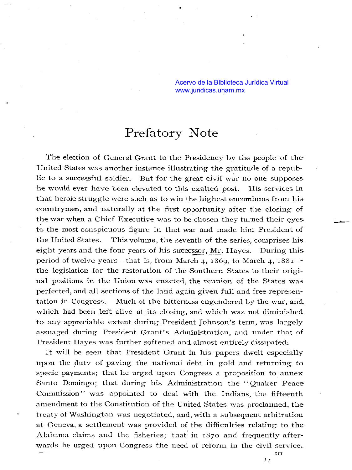Acervo de la BIblioteca Jurídica Virtual <www.juridicas.unam.mx>

## Prefatory Note

The election of General Grant to the Presidency by the people of the United States was another instance illustrating the gratitude of a republic to a successful soldier. But for the great civil war no one supposes lle would ever have been elevated to this exalted post. His services in that heroic struggle were such as to win the highest encomiums from his. countrymen, and naturally at the first opportunity after the closing of the war when a Chief Executive was to be chosen they turned their eyes. to the most conspicuous figure in that war and made him President of the United States. This volume, the seventh of the series, comprises his eight years and the four years of his successor, Mr. Hayes. During this. period of twelve years—that is, from March 4, 1869, to March 4, 1881 the legislation for the restoration of the Southern States to their original positions in the Union was enacted, the reunion of the States was. perfected, and al1 sections of the land again given full and free represeritation in Congress. Much of the bitterness engendered by the war, and which had been left alive at its closing, and which was not diminished to any appreciable extent during President Johnson's term, was largely assuaged during President Grant's Administration, and under that of President Hayes was further softened and almost entirely dissipated:

It will be seen that President Grant in his papers dwelt especially upon the duty of paying the national debt in gold and returning to specie payments; that he urged upon Congress a proposition to annex Santo Domingo; that during his Administration the "Quaker Peace Commission" was appointed to deal with the Indians, the fifteenth amendment to the Constitution of the United States was proclaimed, the treaty of Washington was negotiated, and, with a subsequent arbitration at Geneva, a settlement was provided of the difficulties relating to the. Alabama claims and the fisheries; that in 1870 and frequently afterwards he urged upon Congress the need of reform in the civil service.

**1:**